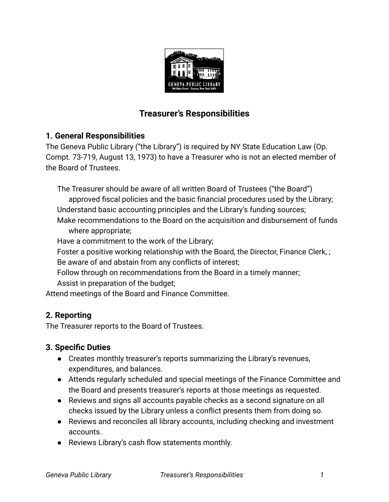

# **Treasurer's Responsibilities**

## **1. General Responsibilities**

The Geneva Public Library ("the Library") is required by NY State Education Law (Op. Compt. 73-719, August 13, 1973) to have a Treasurer who is not an elected member of the Board of Trustees.

The Treasurer should be aware of all written Board of Trustees ("the Board")

- approved fiscal policies and the basic financial procedures used by the Library; Understand basic accounting principles and the Library's funding sources;
- Make recommendations to the Board on the acquisition and disbursement of funds where appropriate;

Have a commitment to the work of the Library;

Foster a positive working relationship with the Board, the Director, Finance Clerk, ;

Be aware of and abstain from any conflicts of interest;

Follow through on recommendations from the Board in a timely manner;

Assist in preparation of the budget;

Attend meetings of the Board and Finance Committee.

## **2. Reporting**

The Treasurer reports to the Board of Trustees.

## **3. Specific Duties**

- Creates monthly treasurer's reports summarizing the Library's revenues, expenditures, and balances.
- **●** Attends regularly scheduled and special meetings of the Finance Committee and the Board and presents treasurer's reports at those meetings as requested.
- **●** Reviews and signs all accounts payable checks as a second signature on all checks issued by the Library unless a conflict presents them from doing so.
- **●** Reviews and reconciles all library accounts, including checking and investment accounts.
- **●** Reviews Library's cash flow statements monthly.